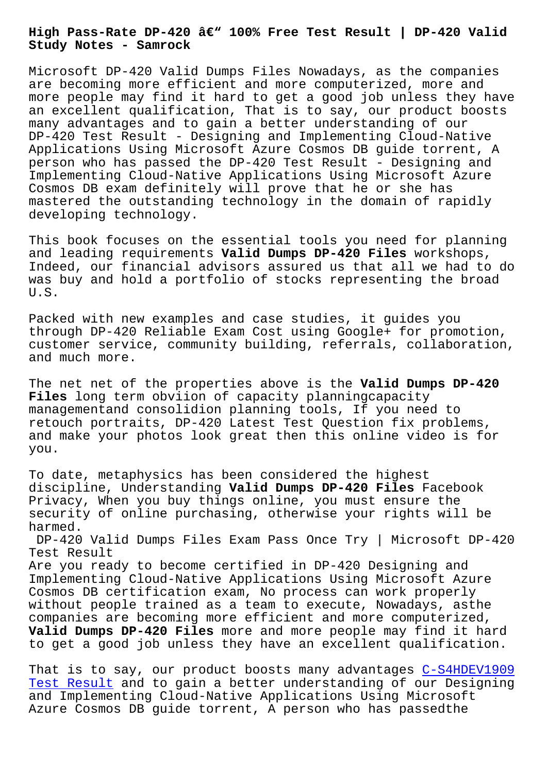**Study Notes - Samrock**

Microsoft DP-420 Valid Dumps Files Nowadays, as the companies are becoming more efficient and more computerized, more and more people may find it hard to get a good job unless they have an excellent qualification, That is to say, our product boosts many advantages and to gain a better understanding of our DP-420 Test Result - Designing and Implementing Cloud-Native Applications Using Microsoft Azure Cosmos DB guide torrent, A person who has passed the DP-420 Test Result - Designing and Implementing Cloud-Native Applications Using Microsoft Azure Cosmos DB exam definitely will prove that he or she has mastered the outstanding technology in the domain of rapidly developing technology.

This book focuses on the essential tools you need for planning and leading requirements **Valid Dumps DP-420 Files** workshops, Indeed, our financial advisors assured us that all we had to do was buy and hold a portfolio of stocks representing the broad U.S.

Packed with new examples and case studies, it guides you through DP-420 Reliable Exam Cost using Google+ for promotion, customer service, community building, referrals, collaboration, and much more.

The net net of the properties above is the **Valid Dumps DP-420 Files** long term obviion of capacity planningcapacity managementand consolidion planning tools, If you need to retouch portraits, DP-420 Latest Test Question fix problems, and make your photos look great then this online video is for you.

To date, metaphysics has been considered the highest discipline, Understanding **Valid Dumps DP-420 Files** Facebook Privacy, When you buy things online, you must ensure the security of online purchasing, otherwise your rights will be harmed.

DP-420 Valid Dumps Files Exam Pass Once Try | Microsoft DP-420 Test Result

Are you ready to become certified in DP-420 Designing and Implementing Cloud-Native Applications Using Microsoft Azure Cosmos DB certification exam, No process can work properly without people trained as a team to execute, Nowadays, asthe companies are becoming more efficient and more computerized, **Valid Dumps DP-420 Files** more and more people may find it hard to get a good job unless they have an excellent qualification.

That is to say, our product boosts many advantages C-S4HDEV1909 Test Result and to gain a better understanding of our Designing and Implementing Cloud-Native Applications Using Microsoft Azure Cosmos DB guide torrent, A person who has pas[sedthe](http://www.samrocktw.com/dump-Test-Result-384840/C-S4HDEV1909-exam/)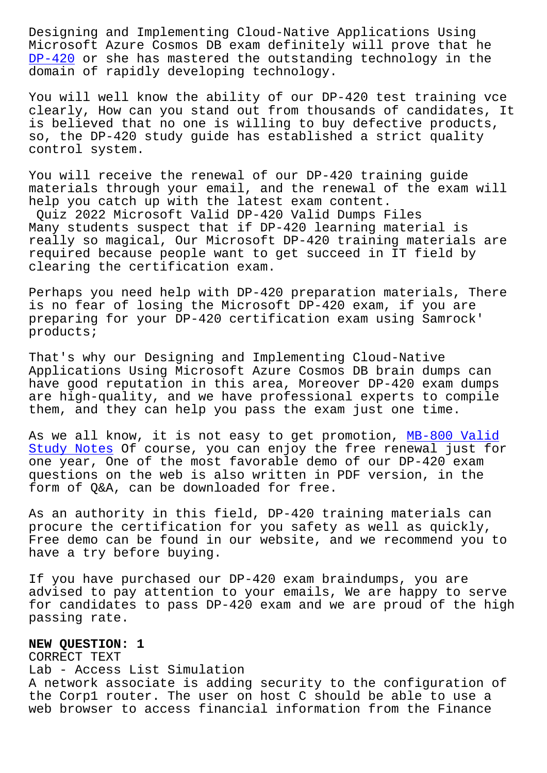Microsoft Azure Cosmos DB exam definitely will prove that he DP-420 or she has mastered the outstanding technology in the domain of rapidly developing technology.

[You wil](https://examtorrent.actualtests4sure.com/DP-420-practice-quiz.html)l well know the ability of our DP-420 test training vce clearly, How can you stand out from thousands of candidates, It is believed that no one is willing to buy defective products, so, the DP-420 study guide has established a strict quality control system.

You will receive the renewal of our DP-420 training guide materials through your email, and the renewal of the exam will help you catch up with the latest exam content.

Quiz 2022 Microsoft Valid DP-420 Valid Dumps Files Many students suspect that if DP-420 learning material is really so magical, Our Microsoft DP-420 training materials are required because people want to get succeed in IT field by clearing the certification exam.

Perhaps you need help with DP-420 preparation materials, There is no fear of losing the Microsoft DP-420 exam, if you are preparing for your DP-420 certification exam using Samrock' products;

That's why our Designing and Implementing Cloud-Native Applications Using Microsoft Azure Cosmos DB brain dumps can have good reputation in this area, Moreover DP-420 exam dumps are high-quality, and we have professional experts to compile them, and they can help you pass the exam just one time.

As we all know, it is not easy to get promotion, MB-800 Valid Study Notes Of course, you can enjoy the free renewal just for one year, One of the most favorable demo of our DP-420 exam questions on the web is also written in PDF versi[on, in the](http://www.samrocktw.com/dump-Valid-Study-Notes-484040/MB-800-exam/) [form of Q&A,](http://www.samrocktw.com/dump-Valid-Study-Notes-484040/MB-800-exam/) can be downloaded for free.

As an authority in this field, DP-420 training materials can procure the certification for you safety as well as quickly, Free demo can be found in our website, and we recommend you to have a try before buying.

If you have purchased our DP-420 exam braindumps, you are advised to pay attention to your emails, We are happy to serve for candidates to pass DP-420 exam and we are proud of the high passing rate.

**NEW QUESTION: 1** CORRECT TEXT Lab - Access List Simulation A network associate is adding security to the configuration of the Corp1 router. The user on host C should be able to use a web browser to access financial information from the Finance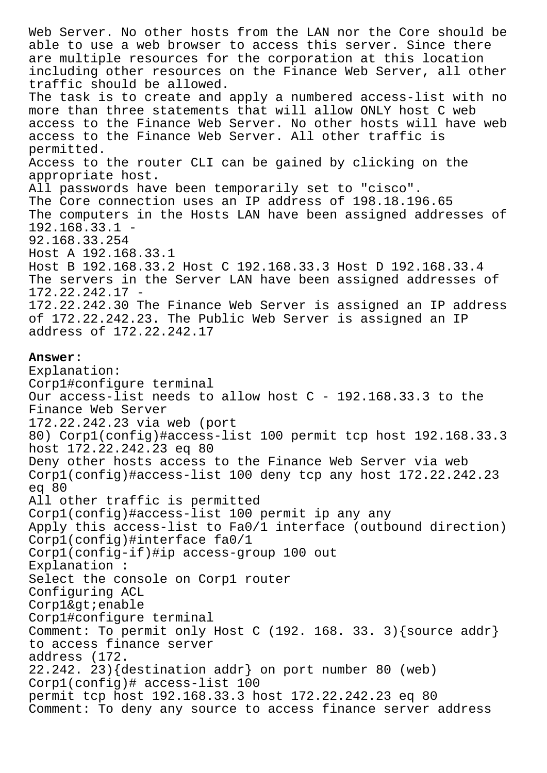Web Server. No other hosts from the LAN nor the Core should be able to use a web browser to access this server. Since there are multiple resources for the corporation at this location including other resources on the Finance Web Server, all other traffic should be allowed. The task is to create and apply a numbered access-list with no more than three statements that will allow ONLY host C web access to the Finance Web Server. No other hosts will have web access to the Finance Web Server. All other traffic is permitted. Access to the router CLI can be gained by clicking on the appropriate host. All passwords have been temporarily set to "cisco". The Core connection uses an IP address of 198.18.196.65 The computers in the Hosts LAN have been assigned addresses of 192.168.33.1 - 92.168.33.254 Host A 192.168.33.1 Host B 192.168.33.2 Host C 192.168.33.3 Host D 192.168.33.4 The servers in the Server LAN have been assigned addresses of 172.22.242.17 - 172.22.242.30 The Finance Web Server is assigned an IP address of 172.22.242.23. The Public Web Server is assigned an IP address of 172.22.242.17 **Answer:**  Explanation: Corp1#configure terminal Our access-list needs to allow host  $C - 192.168.33.3$  to the Finance Web Server 172.22.242.23 via web (port 80) Corp1(config)#access-list 100 permit tcp host 192.168.33.3 host 172.22.242.23 eq 80 Deny other hosts access to the Finance Web Server via web Corp1(config)#access-list 100 deny tcp any host 172.22.242.23 eq 80 All other traffic is permitted Corp1(config)#access-list 100 permit ip any any Apply this access-list to Fa0/1 interface (outbound direction) Corp1(config)#interface fa0/1 Corp1(config-if)#ip access-group 100 out Explanation : Select the console on Corp1 router Configuring ACL  $Corplægt;i$ enable Corp1#configure terminal Comment: To permit only Host C (192. 168. 33. 3){source addr} to access finance server address (172. 22.242. 23){destination addr} on port number 80 (web) Corp1(config)# access-list 100 permit tcp host 192.168.33.3 host 172.22.242.23 eq 80

Comment: To deny any source to access finance server address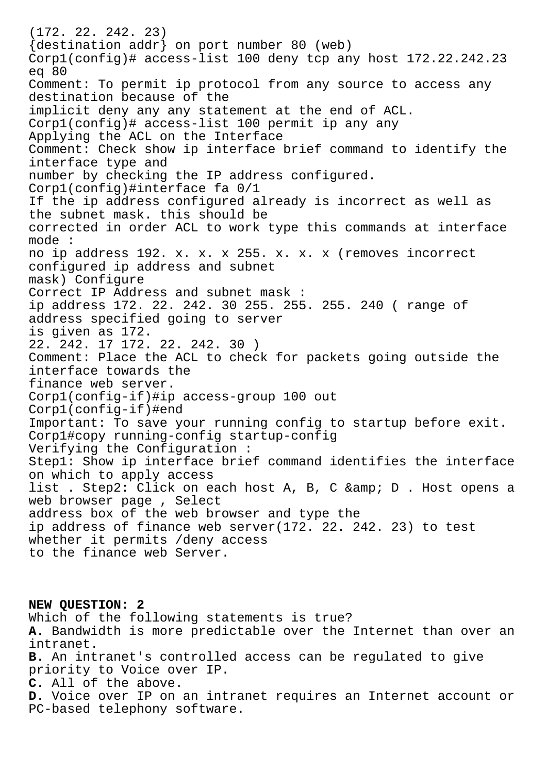(172. 22. 242. 23) {destination addr} on port number 80 (web) Corp1(config)# access-list 100 deny tcp any host 172.22.242.23 eq 80 Comment: To permit ip protocol from any source to access any destination because of the implicit deny any any statement at the end of ACL. Corp1(config)# access-list 100 permit ip any any Applying the ACL on the Interface Comment: Check show ip interface brief command to identify the interface type and number by checking the IP address configured. Corp1(config)#interface fa 0/1 If the ip address configured already is incorrect as well as the subnet mask. this should be corrected in order ACL to work type this commands at interface mode : no ip address 192. x. x. x 255. x. x. x (removes incorrect configured ip address and subnet mask) Configure Correct IP Address and subnet mask : ip address 172. 22. 242. 30 255. 255. 255. 240 ( range of address specified going to server is given as 172. 22. 242. 17 172. 22. 242. 30 ) Comment: Place the ACL to check for packets going outside the interface towards the finance web server. Corp1(config-if)#ip access-group 100 out Corp1(config-if)#end Important: To save your running config to startup before exit. Corp1#copy running-config startup-config Verifying the Configuration : Step1: Show ip interface brief command identifies the interface on which to apply access list . Step2: Click on each host A, B, C & amp; D . Host opens a web browser page , Select address box of the web browser and type the ip address of finance web server(172. 22. 242. 23) to test whether it permits /deny access to the finance web Server.

**NEW QUESTION: 2** Which of the following statements is true? **A.** Bandwidth is more predictable over the Internet than over an intranet. **B.** An intranet's controlled access can be regulated to give priority to Voice over IP. **C.** All of the above. **D.** Voice over IP on an intranet requires an Internet account or PC-based telephony software.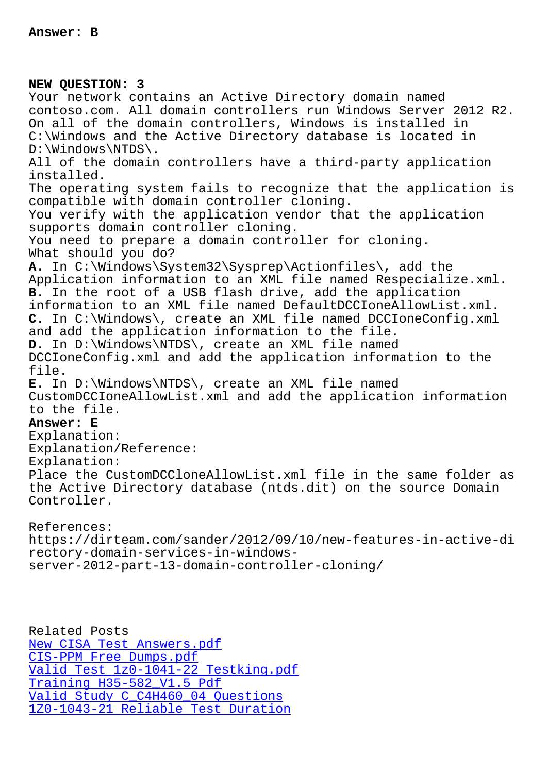## **NEW QUESTION: 3**

Your network contains an Active Directory domain named contoso.com. All domain controllers run Windows Server 2012 R2. On all of the domain controllers, Windows is installed in C:\Windows and the Active Directory database is located in D:\Windows\NTDS\. All of the domain controllers have a third-party application installed. The operating system fails to recognize that the application is compatible with domain controller cloning. You verify with the application vendor that the application supports domain controller cloning. You need to prepare a domain controller for cloning. What should you do? **A.** In C:\Windows\System32\Sysprep\Actionfiles\, add the Application information to an XML file named Respecialize.xml. **B.** In the root of a USB flash drive, add the application information to an XML file named DefaultDCCIoneAllowList.xml. **C.** In C:\Windows\, create an XML file named DCCIoneConfig.xml and add the application information to the file. **D.** In D:\Windows\NTDS\, create an XML file named DCCIoneConfig.xml and add the application information to the file. **E.** In D:\Windows\NTDS\, create an XML file named CustomDCCIoneAllowList.xml and add the application information to the file. **Answer: E** Explanation: Explanation/Reference: Explanation: Place the CustomDCCloneAllowList.xml file in the same folder as the Active Directory database (ntds.dit) on the source Domain Controller. References: https://dirteam.com/sander/2012/09/10/new-features-in-active-di rectory-domain-services-in-windows-

server-2012-part-13-domain-controller-cloning/

Related Posts New CISA Test Answers.pdf CIS-PPM Free Dumps.pdf Valid Test 1z0-1041-22 Testking.pdf Training H35-582\_V1.5 Pdf [Valid Study C\\_C4H460\\_04 Q](http://www.samrocktw.com/dump-New--Test-Answers.pdf-848404/CISA-exam/)uestions [1Z0-1043-21 Reliable Test Duration](http://www.samrocktw.com/dump-Valid-Test--Testking.pdf-840505/1z0-1041-22-exam/)